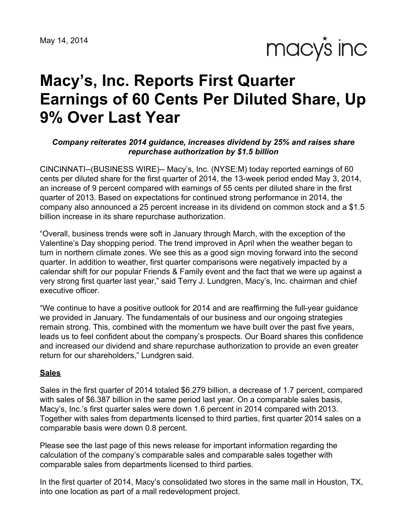macy's inc

# **Macy's, Inc. Reports First Quarter Earnings of 60 Cents Per Diluted Share, Up 9% Over Last Year**

#### *Company reiterates 2014 guidance, increases dividend by 25% and raises share repurchase authorization by \$1.5 billion*

CINCINNATI--(BUSINESS WIRE)-- Macy's, Inc. (NYSE:M) today reported earnings of 60 cents per diluted share for the first quarter of 2014, the 13-week period ended May 3, 2014, an increase of 9 percent compared with earnings of 55 cents per diluted share in the first quarter of 2013. Based on expectations for continued strong performance in 2014, the company also announced a 25 percent increase in its dividend on common stock and a \$1.5 billion increase in its share repurchase authorization.

"Overall, business trends were soft in January through March, with the exception of the Valentine's Day shopping period. The trend improved in April when the weather began to turn in northern climate zones. We see this as a good sign moving forward into the second quarter. In addition to weather, first quarter comparisons were negatively impacted by a calendar shift for our popular Friends & Family event and the fact that we were up against a very strong first quarter last year," said Terry J. Lundgren, Macy's, Inc. chairman and chief executive officer.

"We continue to have a positive outlook for 2014 and are reaffirming the full-year guidance we provided in January. The fundamentals of our business and our ongoing strategies remain strong. This, combined with the momentum we have built over the past five years, leads us to feel confident about the company's prospects. Our Board shares this confidence and increased our dividend and share repurchase authorization to provide an even greater return for our shareholders," Lundgren said.

#### **Sales**

Sales in the first quarter of 2014 totaled \$6.279 billion, a decrease of 1.7 percent, compared with sales of \$6.387 billion in the same period last year. On a comparable sales basis, Macy's, Inc.'s first quarter sales were down 1.6 percent in 2014 compared with 2013. Together with sales from departments licensed to third parties, first quarter 2014 sales on a comparable basis were down 0.8 percent.

Please see the last page of this news release for important information regarding the calculation of the company's comparable sales and comparable sales together with comparable sales from departments licensed to third parties.

In the first quarter of 2014, Macy's consolidated two stores in the same mall in Houston, TX, into one location as part of a mall redevelopment project.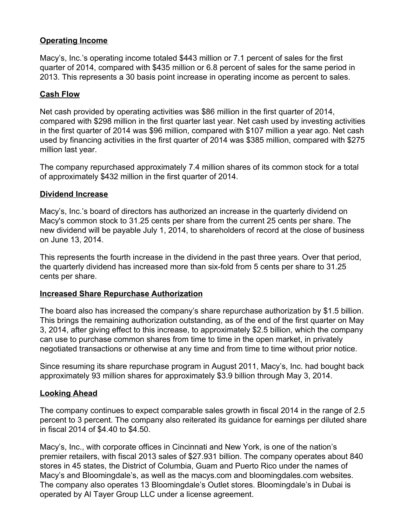# **Operating Income**

Macy's, Inc.'s operating income totaled \$443 million or 7.1 percent of sales for the first quarter of 2014, compared with \$435 million or 6.8 percent of sales for the same period in 2013. This represents a 30 basis point increase in operating income as percent to sales.

# **Cash Flow**

Net cash provided by operating activities was \$86 million in the first quarter of 2014, compared with \$298 million in the first quarter last year. Net cash used by investing activities in the first quarter of 2014 was \$96 million, compared with \$107 million a year ago. Net cash used by financing activities in the first quarter of 2014 was \$385 million, compared with \$275 million last year.

The company repurchased approximately 7.4 million shares of its common stock for a total of approximately \$432 million in the first quarter of 2014.

## **Dividend Increase**

Macy's, Inc.'s board of directors has authorized an increase in the quarterly dividend on Macy's common stock to 31.25 cents per share from the current 25 cents per share. The new dividend will be payable July 1, 2014, to shareholders of record at the close of business on June 13, 2014.

This represents the fourth increase in the dividend in the past three years. Over that period, the quarterly dividend has increased more than six-fold from 5 cents per share to 31.25 cents per share.

#### **Increased Share Repurchase Authorization**

The board also has increased the company's share repurchase authorization by \$1.5 billion. This brings the remaining authorization outstanding, as of the end of the first quarter on May 3, 2014, after giving effect to this increase, to approximately \$2.5 billion, which the company can use to purchase common shares from time to time in the open market, in privately negotiated transactions or otherwise at any time and from time to time without prior notice.

Since resuming its share repurchase program in August 2011, Macy's, Inc. had bought back approximately 93 million shares for approximately \$3.9 billion through May 3, 2014.

## **Looking Ahead**

The company continues to expect comparable sales growth in fiscal 2014 in the range of 2.5 percent to 3 percent. The company also reiterated its guidance for earnings per diluted share in fiscal 2014 of \$4.40 to \$4.50.

Macy's, Inc., with corporate offices in Cincinnati and New York, is one of the nation's premier retailers, with fiscal 2013 sales of \$27.931 billion. The company operates about 840 stores in 45 states, the District of Columbia, Guam and Puerto Rico under the names of Macy's and Bloomingdale's, as well as the macys.com and bloomingdales.com websites. The company also operates 13 Bloomingdale's Outlet stores. Bloomingdale's in Dubai is operated by Al Tayer Group LLC under a license agreement.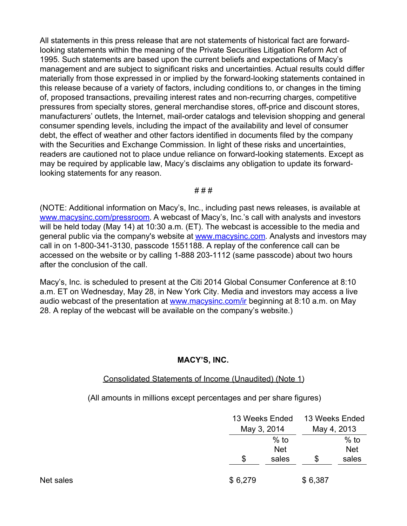All statements in this press release that are not statements of historical fact are forwardlooking statements within the meaning of the Private Securities Litigation Reform Act of 1995. Such statements are based upon the current beliefs and expectations of Macy's management and are subject to significant risks and uncertainties. Actual results could differ materially from those expressed in or implied by the forward-looking statements contained in this release because of a variety of factors, including conditions to, or changes in the timing of, proposed transactions, prevailing interest rates and non-recurring charges, competitive pressures from specialty stores, general merchandise stores, off-price and discount stores, manufacturers' outlets, the Internet, mail-order catalogs and television shopping and general consumer spending levels, including the impact of the availability and level of consumer debt, the effect of weather and other factors identified in documents filed by the company with the Securities and Exchange Commission. In light of these risks and uncertainties, readers are cautioned not to place undue reliance on forward-looking statements. Except as may be required by applicable law, Macy's disclaims any obligation to update its forwardlooking statements for any reason.

# # #

(NOTE: Additional information on Macy's, Inc., including past news releases, is available at [www.macysinc.com/pressroom](http://www.macysinc.com/pressroom). A webcast of Macy's, Inc.'s call with analysts and investors will be held today (May 14) at 10:30 a.m. (ET). The webcast is accessible to the media and general public via the company's website at [www.macysinc.com](http://www.macysinc.com). Analysts and investors may call in on 1-800-341-3130, passcode 1551188. A replay of the conference call can be accessed on the website or by calling 1-888 203-1112 (same passcode) about two hours after the conclusion of the call.

Macy's, Inc. is scheduled to present at the Citi 2014 Global Consumer Conference at 8:10 a.m. ET on Wednesday, May 28, in New York City. Media and investors may access a live audio webcast of the presentation at [www.macysinc.com/ir](http://www.macysinc.com/ir) beginning at 8:10 a.m. on May 28. A replay of the webcast will be available on the company's website.)

## **MACY'S, INC.**

#### Consolidated Statements of Income (Unaudited) (Note 1)

(All amounts in millions except percentages and per share figures)

|           |         | 13 Weeks Ended<br>May 3, 2014 |         | 13 Weeks Ended<br>May 4, 2013 |  |
|-----------|---------|-------------------------------|---------|-------------------------------|--|
|           | \$      | $%$ to<br><b>Net</b><br>sales | \$      | $%$ to<br><b>Net</b><br>sales |  |
| Net sales | \$6,279 |                               | \$6,387 |                               |  |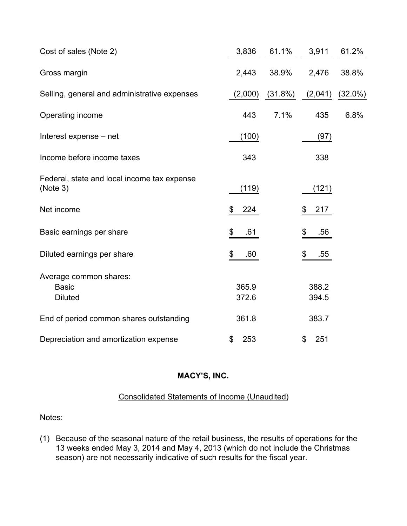| Cost of sales (Note 2)                                   | 3,836          | 61.1%   | 3,911          | 61.2%      |
|----------------------------------------------------------|----------------|---------|----------------|------------|
| Gross margin                                             | 2,443          | 38.9%   | 2,476          | 38.8%      |
| Selling, general and administrative expenses             | (2,000)        | (31.8%) | (2,041)        | $(32.0\%)$ |
| Operating income                                         | 443            | 7.1%    | 435            | 6.8%       |
| Interest expense - net                                   | (100)          |         | (97)           |            |
| Income before income taxes                               | 343            |         | 338            |            |
| Federal, state and local income tax expense<br>(Note 3)  | (119)          |         | (121)          |            |
| Net income                                               | 224<br>\$      |         | \$<br>217      |            |
| Basic earnings per share                                 | \$<br>.61      |         | \$<br>.56      |            |
| Diluted earnings per share                               | \$<br>.60      |         | \$<br>.55      |            |
| Average common shares:<br><b>Basic</b><br><b>Diluted</b> | 365.9<br>372.6 |         | 388.2<br>394.5 |            |
| End of period common shares outstanding                  | 361.8          |         | 383.7          |            |
| Depreciation and amortization expense                    | \$<br>253      |         | \$<br>251      |            |

# Consolidated Statements of Income (Unaudited)

Notes:

(1) Because of the seasonal nature of the retail business, the results of operations for the 13 weeks ended May 3, 2014 and May 4, 2013 (which do not include the Christmas season) are not necessarily indicative of such results for the fiscal year.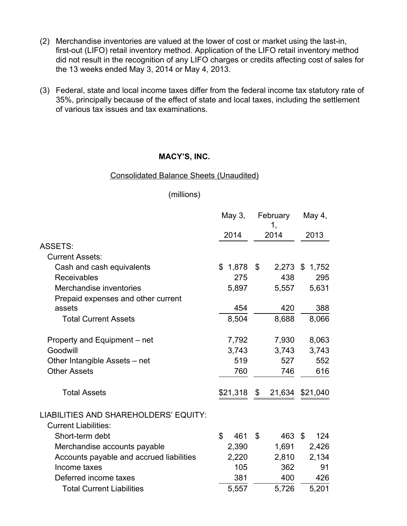- (2) Merchandise inventories are valued at the lower of cost or market using the last-in, first-out (LIFO) retail inventory method. Application of the LIFO retail inventory method did not result in the recognition of any LIFO charges or credits affecting cost of sales for the 13 weeks ended May 3, 2014 or May 4, 2013.
- (3) Federal, state and local income taxes differ from the federal income tax statutory rate of 35%, principally because of the effect of state and local taxes, including the settlement of various tax issues and tax examinations.

#### Consolidated Balance Sheets (Unaudited)

# (millions)

|                                          | May 3,    | February<br>1,          | May 4,         |
|------------------------------------------|-----------|-------------------------|----------------|
|                                          | 2014      | 2014                    | 2013           |
| <b>ASSETS:</b>                           |           |                         |                |
| <b>Current Assets:</b>                   |           |                         |                |
| Cash and cash equivalents                | \$1,878   | \$                      | 2,273 \$ 1,752 |
| <b>Receivables</b>                       | 275       | 438                     | 295            |
| Merchandise inventories                  | 5,897     | 5,557                   | 5,631          |
| Prepaid expenses and other current       |           |                         |                |
| assets                                   | 454       | 420                     | 388            |
| <b>Total Current Assets</b>              | 8,504     | 8,688                   | 8,066          |
| Property and Equipment – net             | 7,792     | 7,930                   | 8,063          |
| Goodwill                                 | 3,743     | 3,743                   | 3,743          |
| Other Intangible Assets - net            | 519       | 527                     | 552            |
| <b>Other Assets</b>                      | 760       | 746                     | 616            |
| <b>Total Assets</b>                      | \$21,318  | $\frac{1}{2}$<br>21,634 | \$21,040       |
| LIABILITIES AND SHAREHOLDERS' EQUITY:    |           |                         |                |
| <b>Current Liabilities:</b>              |           |                         |                |
| Short-term debt                          | \$<br>461 | $\mathcal{L}$<br>463 \$ | 124            |
| Merchandise accounts payable             | 2,390     | 1,691                   | 2,426          |
| Accounts payable and accrued liabilities | 2,220     | 2,810                   | 2,134          |
| Income taxes                             | 105       | 362                     | 91             |
| Deferred income taxes                    | 381       | 400                     | 426            |
| <b>Total Current Liabilities</b>         | 5,557     | 5,726                   | 5,201          |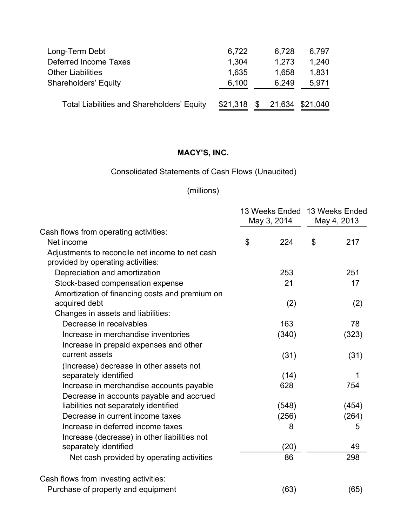| Long-Term Debt                                    | 6,722    | 6,728 | 6,797           |
|---------------------------------------------------|----------|-------|-----------------|
| <b>Deferred Income Taxes</b>                      | 1,304    | 1,273 | 1,240           |
| <b>Other Liabilities</b>                          | 1,635    | 1,658 | 1,831           |
| <b>Shareholders' Equity</b>                       | 6,100    | 6,249 | 5,971           |
| <b>Total Liabilities and Shareholders' Equity</b> | \$21,318 | - \$  | 21,634 \$21,040 |

# Consolidated Statements of Cash Flows (Unaudited)

# (millions)

|                                                                                      | May 3, 2014    |       | 13 Weeks Ended 13 Weeks Ended<br>May 4, 2013 |       |
|--------------------------------------------------------------------------------------|----------------|-------|----------------------------------------------|-------|
| Cash flows from operating activities:                                                |                |       |                                              |       |
| Net income                                                                           | $\mathfrak{S}$ | 224   | \$                                           | 217   |
| Adjustments to reconcile net income to net cash<br>provided by operating activities: |                |       |                                              |       |
| Depreciation and amortization                                                        |                | 253   |                                              | 251   |
| Stock-based compensation expense                                                     |                | 21    |                                              | 17    |
| Amortization of financing costs and premium on                                       |                |       |                                              |       |
| acquired debt                                                                        |                | (2)   |                                              | (2)   |
| Changes in assets and liabilities:                                                   |                |       |                                              |       |
| Decrease in receivables                                                              |                | 163   |                                              | 78    |
| Increase in merchandise inventories                                                  |                | (340) |                                              | (323) |
| Increase in prepaid expenses and other                                               |                |       |                                              |       |
| current assets                                                                       |                | (31)  |                                              | (31)  |
| (Increase) decrease in other assets not                                              |                |       |                                              |       |
| separately identified                                                                |                | (14)  |                                              | 1     |
| Increase in merchandise accounts payable                                             |                | 628   |                                              | 754   |
| Decrease in accounts payable and accrued                                             |                |       |                                              |       |
| liabilities not separately identified                                                |                | (548) |                                              | (454) |
| Decrease in current income taxes                                                     |                | (256) |                                              | (264) |
| Increase in deferred income taxes                                                    |                | 8     |                                              | 5     |
| Increase (decrease) in other liabilities not                                         |                |       |                                              |       |
| separately identified                                                                |                | (20)  |                                              | 49    |
| Net cash provided by operating activities                                            |                | 86    |                                              | 298   |
| Cash flows from investing activities:                                                |                |       |                                              |       |
| Purchase of property and equipment                                                   |                | (63)  |                                              | (65)  |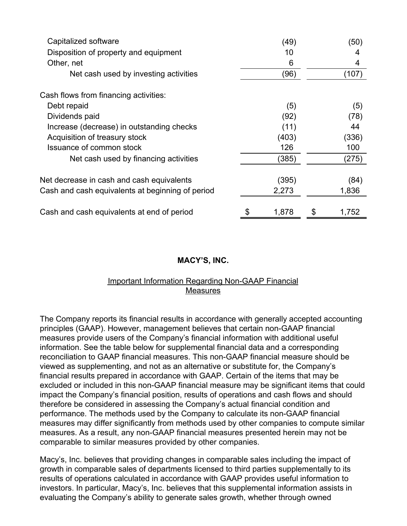| Capitalized software                             | (49)  | (50)        |
|--------------------------------------------------|-------|-------------|
| Disposition of property and equipment            | 10    | 4           |
| Other, net                                       | 6     | 4           |
| Net cash used by investing activities            | (96)  | (107)       |
| Cash flows from financing activities:            |       |             |
| Debt repaid                                      | (5)   | (5)         |
| Dividends paid                                   | (92)  | (78)        |
| Increase (decrease) in outstanding checks        | (11)  | 44          |
| Acquisition of treasury stock                    | (403) | (336)       |
| Issuance of common stock                         | 126   | 100         |
| Net cash used by financing activities            | (385) | (275)       |
| Net decrease in cash and cash equivalents        | (395) | (84)        |
| Cash and cash equivalents at beginning of period | 2,273 | 1,836       |
| Cash and cash equivalents at end of period       | 1,878 | \$<br>1,752 |

## Important Information Regarding Non-GAAP Financial Measures

The Company reports its financial results in accordance with generally accepted accounting principles (GAAP). However, management believes that certain non-GAAP financial measures provide users of the Company's financial information with additional useful information. See the table below for supplemental financial data and a corresponding reconciliation to GAAP financial measures. This non-GAAP financial measure should be viewed as supplementing, and not as an alternative or substitute for, the Company's financial results prepared in accordance with GAAP. Certain of the items that may be excluded or included in this non-GAAP financial measure may be significant items that could impact the Company's financial position, results of operations and cash flows and should therefore be considered in assessing the Company's actual financial condition and performance. The methods used by the Company to calculate its non-GAAP financial measures may differ significantly from methods used by other companies to compute similar measures. As a result, any non-GAAP financial measures presented herein may not be comparable to similar measures provided by other companies.

Macy's, Inc. believes that providing changes in comparable sales including the impact of growth in comparable sales of departments licensed to third parties supplementally to its results of operations calculated in accordance with GAAP provides useful information to investors. In particular, Macy's, Inc. believes that this supplemental information assists in evaluating the Company's ability to generate sales growth, whether through owned